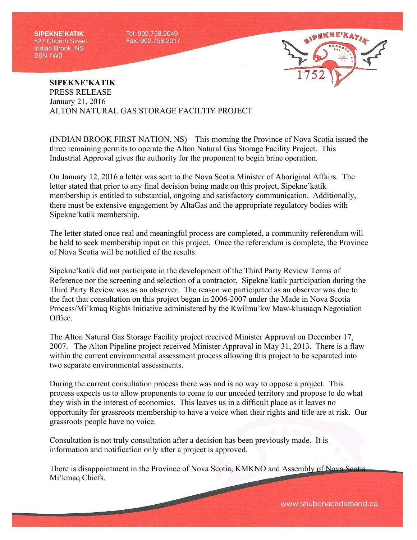**SIPEKNE'KATIK** 522 Church Street **Indian Brook, NS BON 1WO** 

Tel: 902.758.2049 Fax: 902.758.2017



## **SIPEKNE'KATIK** PRESS RELEASE January 21, 2016 ALTON NATURAL GAS STORAGE FACILTIY PROJECT

(INDIAN BROOK FIRST NATION, NS) – This morning the Province of Nova Scotia issued the three remaining permits to operate the Alton Natural Gas Storage Facility Project. This Industrial Approval gives the authority for the proponent to begin brine operation.

On January 12, 2016 a letter was sent to the Nova Scotia Minister of Aboriginal Affairs. The letter stated that prior to any final decision being made on this project, Sipekne'katik membership is entitled to substantial, ongoing and satisfactory communication. Additionally, there must be extensive engagement by AltaGas and the appropriate regulatory bodies with Sipekne'katik membership.

The letter stated once real and meaningful process are completed, a community referendum will be held to seek membership input on this project. Once the referendum is complete, the Province of Nova Scotia will be notified of the results.

Sipekne'katik did not participate in the development of the Third Party Review Terms of Reference nor the screening and selection of a contractor. Sipekne'katik participation during the Third Party Review was as an observer. The reason we participated as an observer was due to the fact that consultation on this project began in 2006-2007 under the Made in Nova Scotia Process/Mi'kmaq Rights Initiative administered by the Kwilmu'kw Maw-klusuaqn Negotiation Office.

The Alton Natural Gas Storage Facility project received Minister Approval on December 17, 2007. The Alton Pipeline project received Minister Approval in May 31, 2013. There is a flaw within the current environmental assessment process allowing this project to be separated into two separate environmental assessments.

During the current consultation process there was and is no way to oppose a project. This process expects us to allow proponents to come to our unceded territory and propose to do what they wish in the interest of economics. This leaves us in a difficult place as it leaves no opportunity for grassroots membership to have a voice when their rights and title are at risk. Our grassroots people have no voice.

Consultation is not truly consultation after a decision has been previously made. It is information and notification only after a project is approved.

There is disappointment in the Province of Nova Scotia, KMKNO and Assembly of Nova Scotia Mi'kmaq Chiefs.

www.shubenacadieband.ca